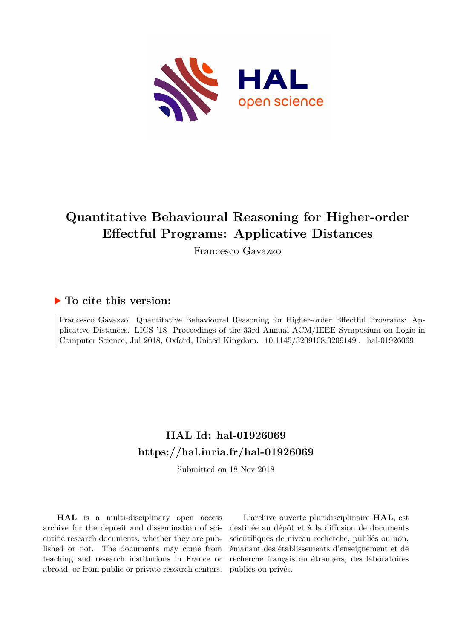

# **Quantitative Behavioural Reasoning for Higher-order Effectful Programs: Applicative Distances**

Francesco Gavazzo

## **To cite this version:**

Francesco Gavazzo. Quantitative Behavioural Reasoning for Higher-order Effectful Programs: Applicative Distances. LICS '18- Proceedings of the 33rd Annual ACM/IEEE Symposium on Logic in Computer Science, Jul 2018, Oxford, United Kingdom.  $10.1145/3209108.3209149$ . hal-01926069

## **HAL Id: hal-01926069 <https://hal.inria.fr/hal-01926069>**

Submitted on 18 Nov 2018

**HAL** is a multi-disciplinary open access archive for the deposit and dissemination of scientific research documents, whether they are published or not. The documents may come from teaching and research institutions in France or abroad, or from public or private research centers.

L'archive ouverte pluridisciplinaire **HAL**, est destinée au dépôt et à la diffusion de documents scientifiques de niveau recherche, publiés ou non, émanant des établissements d'enseignement et de recherche français ou étrangers, des laboratoires publics ou privés.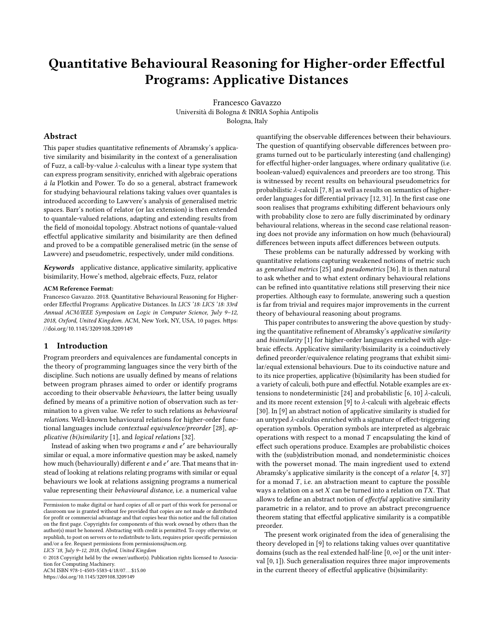## Quantitative Behavioural Reasoning for Higher-order Effectful Programs: Applicative Distances

Francesco Gavazzo Università di Bologna & INRIA Sophia Antipolis Bologna, Italy

## Abstract

This paper studies quantitative refinements of Abramsky's applicative similarity and bisimilarity in the context of a generalisation of Fuzz, a call-by-value  $\lambda$ -calculus with a linear type system that can express program sensitivity, enriched with algebraic operations à la Plotkin and Power. To do so a general, abstract framework for studying behavioural relations taking values over quantales is introduced according to Lawvere's analysis of generalised metric spaces. Barr's notion of relator (or lax extension) is then extended to quantale-valued relations, adapting and extending results from the field of monoidal topology. Abstract notions of quantale-valued effectful applicative similarity and bisimilarity are then defined and proved to be a compatible generalised metric (in the sense of Lawvere) and pseudometric, respectively, under mild conditions.

Keywords applicative distance, applicative similarity, applicative bisimilarity, Howe's method, algebraic effects, Fuzz, relator

#### ACM Reference Format:

Francesco Gavazzo. 2018. Quantitative Behavioural Reasoning for Higherorder Effectful Programs: Applicative Distances. In LICS '18: LICS '18: 33rd Annual ACM/IEEE Symposium on Logic in Computer Science, July 9–12, 2018, Oxford, United Kingdom. ACM, New York, NY, USA, 10 pages. [https:](https://doi.org/10.1145/3209108.3209149) [//doi.org/10.1145/3209108.3209149](https://doi.org/10.1145/3209108.3209149)

## 1 Introduction

Program preorders and equivalences are fundamental concepts in the theory of programming languages since the very birth of the discipline. Such notions are usually defined by means of relations between program phrases aimed to order or identify programs according to their observable behaviours, the latter being usually defined by means of a primitive notion of observation such as termination to a given value. We refer to such relations as behavioural relations. Well-known behavioural relations for higher-order functional languages include contextual equivalence/preorder [28], applicative (bi)similarity [1], and logical relations [32].

Instead of asking when two programs e and e' are behaviourally similar or equal, a more informative question may be asked, namely how much (behaviourally) different e and e' are. That means that instead of looking at relations relating programs with similar or equal behaviours we look at relations assigning programs a numerical value representing their behavioural distance, i.e. a numerical value

ACM ISBN 978-1-4503-5583-4/18/07... \$15.00

<https://doi.org/10.1145/3209108.3209149>

quantifying the observable differences between their behaviours. The question of quantifying observable differences between programs turned out to be particularly interesting (and challenging) for effectful higher-order languages, where ordinary qualitative (i.e. boolean-valued) equivalences and preorders are too strong. This is witnessed by recent results on behavioural pseudometrics for probabilistic  $\lambda$ -calculi [7, 8] as well as results on semantics of higherorder languages for differential privacy [12, 31]. In the first case one soon realises that programs exhibiting different behaviours only with probability close to zero are fully discriminated by ordinary behavioural relations, whereas in the second case relational reasoning does not provide any information on how much (behavioural) differences between inputs affect differences between outputs.

These problems can be naturally addressed by working with quantitative relations capturing weakened notions of metric such as generalised metrics [25] and pseudometrics [36]. It is then natural to ask whether and to what extent ordinary behavioural relations can be refined into quantitative relations still preserving their nice properties. Although easy to formulate, answering such a question is far from trivial and requires major improvements in the current theory of behavioural reasoning about programs.

This paper contributes to answering the above question by studying the quantitative refinement of Abramsky's applicative similarity and bisimilarity [1] for higher-order languages enriched with algebraic effects. Applicative similarity/bisimilarity is a coinductively defined preorder/equivalence relating programs that exhibit similar/equal extensional behaviours. Due to its coinductive nature and to its nice properties, applicative (bi)similarity has been studied for a variety of calculi, both pure and effectful. Notable examples are extensions to nondeterministic [24] and probabilistic [6, 10] λ-calculi, and its more recent extension [9] to  $\lambda$ -calculi with algebraic effects [30]. In [9] an abstract notion of applicative similarity is studied for an untyped  $\lambda$ -calculus enriched with a signature of effect-triggering operation symbols. Operation symbols are interpreted as algebraic operations with respect to a monad  $T$  encapsulating the kind of effect such operations produce. Examples are probabilistic choices with the (sub)distribution monad, and nondeterministic choices with the powerset monad. The main ingredient used to extend Abramsky's applicative similarity is the concept of a relator [4, 37] for a monad  $T$ , i.e. an abstraction meant to capture the possible ways a relation on a set  $X$  can be turned into a relation on  $TX$ . That allows to define an abstract notion of effectful applicative similarity parametric in a relator, and to prove an abstract precongruence theorem stating that effectful applicative similarity is a compatible preorder.

The present work originated from the idea of generalising the theory developed in [9] to relations taking values over quantitative domains (such as the real extended half-line  $[0, \infty]$  or the unit interval [0, 1]). Such generalisation requires three major improvements in the current theory of effectful applicative (bi)similarity:

Permission to make digital or hard copies of all or part of this work for personal or classroom use is granted without fee provided that copies are not made or distributed for profit or commercial advantage and that copies bear this notice and the full citation on the first page. Copyrights for components of this work owned by others than the author(s) must be honored. Abstracting with credit is permitted. To copy otherwise, or republish, to post on servers or to redistribute to lists, requires prior specific permission and/or a fee. Request permissions from permissions@acm.org.

LICS '18, July 9–12, 2018, Oxford, United Kingdom

 $\circledcirc$  2018 Copyright held by the owner/author(s). Publication rights licensed to Association for Computing Machinery.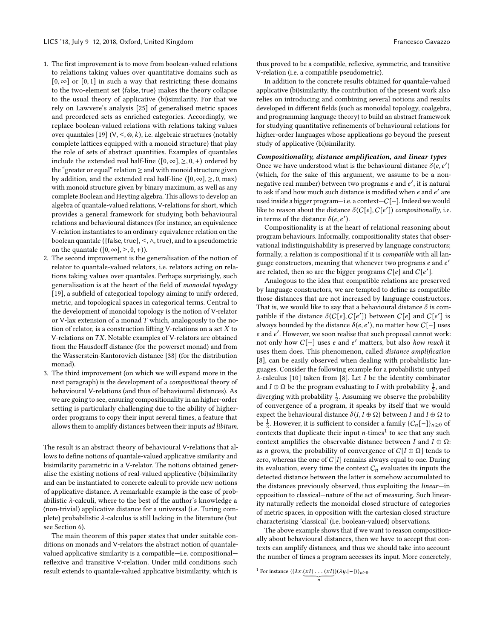- 1. The first improvement is to move from boolean-valued relations to relations taking values over quantitative domains such as  $[0, \infty]$  or  $[0, 1]$  in such a way that restricting these domains to the two-element set {false, true} makes the theory collapse to the usual theory of applicative (bi)similarity. For that we rely on Lawvere's analysis [25] of generalised metric spaces and preordered sets as enriched categories. Accordingly, we replace boolean-valued relations with relations taking values over quantales [19] (V,  $\leq$ ,  $\otimes$ , k), i.e. algebraic structures (notably complete lattices equipped with a monoid structure) that play the role of sets of abstract quantities. Examples of quantales include the extended real half-line ( $[0, \infty]$ ,  $\geq$ , 0, +) ordered by the "greater or equal" relation  $\geq$  and with monoid structure given by addition, and the extended real half-line ( $[0, \infty]$ ,  $\geq$ , 0, max) with monoid structure given by binary maximum, as well as any complete Boolean and Heyting algebra. This allows to develop an algebra of quantale-valued relations, V-relations for short, which provides a general framework for studying both behavioural relations and behavioural distances (for instance, an equivalence V-relation instantiates to an ordinary equivalence relation on the boolean quantale ({false, true},  $\leq$ ,  $\wedge$ , true), and to a pseudometric on the quantale  $([0, \infty], \geq, 0, +)$ ).
- 2. The second improvement is the generalisation of the notion of relator to quantale-valued relators, i.e. relators acting on relations taking values over quantales. Perhaps surprisingly, such generalisation is at the heart of the field of monoidal topology [19], a subfield of categorical topology aiming to unify ordered, metric, and topological spaces in categorical terms. Central to the development of monoidal topology is the notion of V-relator or V-lax extension of a monad  $T$  which, analogously to the notion of relator, is a construction lifting V-relations on a set  $X$  to V-relations on TX. Notable examples of V-relators are obtained from the Hausdorff distance (for the powerset monad) and from the Wasserstein-Kantorovich distance [38] (for the distribution monad).
- 3. The third improvement (on which we will expand more in the next paragraph) is the development of a compositional theory of behavioural V-relations (and thus of behavioural distances). As we are going to see, ensuring compositionality in an higher-order setting is particularly challenging due to the ability of higherorder programs to copy their input several times, a feature that allows them to amplify distances between their inputs ad libitum.

The result is an abstract theory of behavioural V-relations that allows to define notions of quantale-valued applicative similarity and bisimilarity parametric in a V-relator. The notions obtained generalise the existing notions of real-valued applicative (bi)similarity and can be instantiated to concrete calculi to provide new notions of applicative distance. A remarkable example is the case of probabilistic λ-calculi, where to the best of the author's knowledge a (non-trivial) applicative distance for a universal (i.e. Turing complete) probabilistic λ-calculus is still lacking in the literature (but see Section 6).

The main theorem of this paper states that under suitable conditions on monads and V-relators the abstract notion of quantalevalued applicative similarity is a compatible—i.e. compositional reflexive and transitive V-relation. Under mild conditions such result extends to quantale-valued applicative bisimilarity, which is

thus proved to be a compatible, reflexive, symmetric, and transitive V-relation (i.e. a compatible pseudometric).

In addition to the concrete results obtained for quantale-valued applicative (bi)similarity, the contribution of the present work also relies on introducing and combining several notions and results developed in different fields (such as monoidal topology, coalgebra, and programming language theory) to build an abstract framework for studying quantitative refinements of behavioural relations for higher-order languages whose applications go beyond the present study of applicative (bi)similarity.

#### Compositionality, distance amplification, and linear types

Once we have understood what is the behavioural distance  $\delta(e, e')$ <br>(which for the sake of this argument, we assume to be a nor-) (which, for the sake of this argument, we assume to be a nonnegative real number) between two programs e and e', it is natural to ask if and how much such distance is modified when  $e$  and  $e^\prime$  are used inside a bigger program—i.e. a context—C[−]. Indeed we would like to reason about the distance  $\delta(C[e], C[e'])$  compositionally, i.e. in terms of the distance  $\delta(e, e')$ .<br>Compositionality is at the he

Compositionality is at the heart of relational reasoning about program behaviours. Informally, compositionality states that observational indistinguishability is preserved by language constructors; formally, a relation is compositional if it is compatible with all language constructors, meaning that whenever two programs e and e' are related, then so are the bigger programs  $C[e]$  and  $C[e']$ .

Analogous to the idea that compatible relations are preserved by language constructors, we are tempted to define as compatible those distances that are not increased by language constructors. That is, we would like to say that a behavioural distance  $\delta$  is compatible if the distance  $\delta(C[e], C[e'])$  between  $C[e]$  and  $C[e']$  is always bounded by the distance  $\delta(e, e')$  no matter how  $C[-]$  uses always bounded by the distance  $\delta(e, e')$ , no matter how  $C[-]$  uses e and e ′ . However, we soon realise that such proposal cannot work: not only how C[−] uses e and e ′ matters, but also how much it uses them does. This phenomenon, called distance amplification [8], can be easily observed when dealing with probabilistic languages. Consider the following example for a probabilistic untyped  $\lambda$ -calculus [10] taken from [8]. Let *I* be the identity combinator and  $I \oplus \Omega$  be the program evaluating to I with probability  $\frac{1}{2}$ , and dimension with analyzibility 1. Accuming two abounts the mask-hilling diverging with probability  $\frac{1}{2}$ . Assuming we observe the probability of convergence of a program, it speaks by itself that we would expect the behavioural distance  $\delta(I, I \oplus \Omega)$  between I and  $I \oplus \Omega$  to be  $\frac{1}{2}$ . However, it is sufficient to consider a family  $\{C_n[-]\}_{n\geq 0}$  of contexts that duplicate their input *n*-times<sup>1</sup> to see that any such context amplifies the observable distance between  $I$  and  $I\oplus\Omega\colon$ as *n* grows, the probability of convergence of  $C[I \oplus \Omega]$  tends to zero, whereas the one of  $C[I]$  remains always equal to one. During its evaluation, every time the context  $C_n$  evaluates its inputs the detected distance between the latter is somehow accumulated to the distances previously observed, thus exploiting the linear—in opposition to classical—nature of the act of measuring. Such linearity naturally reflects the monoidal closed structure of categories of metric spaces, in opposition with the cartesian closed structure characterising 'classical' (i.e. boolean-valued) observations.

The above example shows that if we want to reason compositionally about behavioural distances, then we have to accept that contexts can amplify distances, and thus we should take into account the number of times a program accesses its input. More concretely,

<sup>&</sup>lt;sup>1</sup> For instance  $\{\left(\lambda x.(\underbrace{xI)\dots(xI})\right) (\lambda y.[-])\}_{n\geq 0}$ .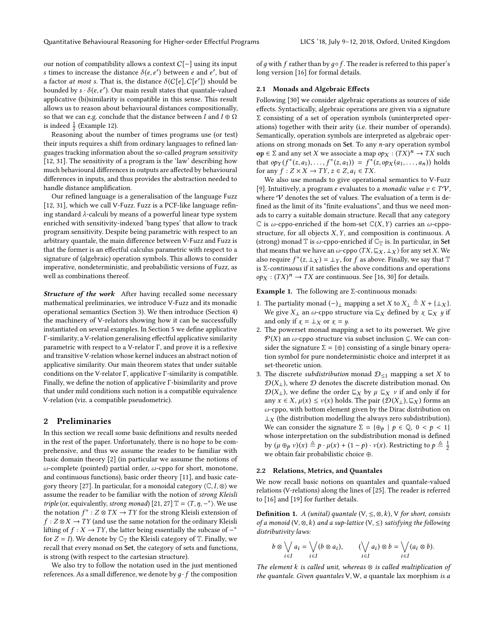our notion of compatibility allows a context C[−] using its input s times to increase the distance  $\delta(e, e')$  between e and e', but of a factor *at most s*. That is, the distance  $\delta(C[e], C[e'])$  should be bounded by  $\epsilon$ ,  $\delta(e, e')$ . Our main result states that quantale-valued bounded by  $s \cdot \delta(e, e')$ . Our main result states that quantale-valued applicative (bi)similarity is compatible in this sense. This result applicative (bi)similarity is compatible in this sense. This result allows us to reason about behavioural distances compositionally, so that we can e.g. conclude that the distance between I and  $I \oplus \Omega$ is indeed  $\frac{1}{2}$  (Example 12).

Reasoning about the number of times programs use (or test) their inputs requires a shift from ordinary languages to refined languages tracking information about the so-called program sensitivity [12, 31]. The sensitivity of a program is the 'law' describing how much behavioural differences in outputs are affected by behavioural differences in inputs, and thus provides the abstraction needed to handle distance amplification.

Our refined language is a generalisation of the language Fuzz [12, 31], which we call V-Fuzz. Fuzz is a PCF-like language refining standard  $\lambda$ -calculi by means of a powerful linear type system enriched with sensitivity-indexed 'bang types' that allow to track program sensitivity. Despite being parametric with respect to an arbitrary quantale, the main difference between V-Fuzz and Fuzz is that the former is an effectful calculus parametric with respect to a signature of (algebraic) operation symbols. This allows to consider imperative, nondeterministic, and probabilistic versions of Fuzz, as well as combinations thereof.

Structure of the work After having recalled some necessary mathematical preliminaries, we introduce V-Fuzz and its monadic operational semantics (Section 3). We then introduce (Section 4) the machinery of V-relators showing how it can be successfully instantiated on several examples. In Section 5 we define applicative Γ-similarity, a <sup>V</sup>-relation generalising effectful applicative similarity parametric with respect to a <sup>V</sup>-relator Γ, and prove it is a reflexive and transitive V-relation whose kernel induces an abstract notion of applicative similarity. Our main theorem states that under suitable conditions on the <sup>V</sup>-relator Γ, applicative Γ-similarity is compatible. Finally, we define the notion of applicative Γ-bisimilarity and prove that under mild conditions such notion is a compatible equivalence V-relation (viz. a compatible pseudometric).

## 2 Preliminaries

In this section we recall some basic definitions and results needed in the rest of the paper. Unfortunately, there is no hope to be comprehensive, and thus we assume the reader to be familiar with basic domain theory [2] (in particular we assume the notions of ω-complete (pointed) partial order, ω-cppo for short, monotone, and continuous functions), basic order theory [11], and basic category theory [27]. In particular, for a monoidal category  $\langle \mathbb{C}, I, \otimes \rangle$  we assume the reader to be familiar with the notion of strong Kleisli *triple* (or, equivalently, *strong monad*) [21, 27]  $\mathbb{T} = \langle T, \eta, -\ast \rangle$ . We use the notation  $f^*$  :  $Z \otimes TX \to TY$  for the strong Kleisli extension of  $f: Z \otimes X \rightarrow TY$  (and use the same notation for the ordinary Kleisli lifting of  $f : X \to TY$ , the latter being essentially the subcase of  $-$ <sup>\*</sup> for  $Z = I$ ). We denote by  $\mathbb{C}_{\mathbb{T}}$  the Kleisli category of  $\mathbb{T}$ . Finally, we recall that every monad on Set, the category of sets and functions, is strong (with respect to the cartesian structure).

We also try to follow the notation used in the just mentioned references. As a small difference, we denote by  $g \cdot f$  the composition of q with f rather than by  $q \circ f$ . The reader is referred to this paper's long version [16] for formal details.

## 2.1 Monads and Algebraic Effects

Following [30] we consider algebraic operations as sources of side effects. Syntactically, algebraic operations are given via a signature Σ consisting of a set of operation symbols (uninterpreted operations) together with their arity (i.e. their number of operands). Semantically, operation symbols are interpreted as algebraic operations on strong monads on Set. To any n-ary operation symbol op ∈ Σ and any set X we associate a map  $op_X$  :  $(TX)^n \to TX$  such that  $op_Y(f^*(g, g_1) - f^*(g, g_2)) = f^*(g, op_Y(g_2, g_1))$  holds that  $op_Y(f^*(z, a_1), \ldots, f^*(z, a_1)) = f^*(z, op_X(a_1, \ldots, a_n))$  holds<br>for any  $f: Z \times Y \to TY$ ,  $z \in Z$ ,  $a_i \in TY$ for any  $f : Z \times X \to TY$ ,  $z \in Z$ ,  $a_i \in TX$ .

We also use monads to give operational semantics to V-Fuzz [9]. Intuitively, a program *e* evaluates to a *monadic value*  $v \in T\mathcal{V}$ , where  $\mathcal V$  denotes the set of values. The evaluation of a term is defined as the limit of its "finite evaluations", and thus we need monads to carry a suitable domain structure. Recall that any category  $\mathbb C$  is  $\omega$ -cppo-enriched if the hom-set  $\mathbb C(X, Y)$  carries an  $\omega$ -cppostructure, for all objects  $X, Y$ , and composition is continuous. A (strong) monad  $\mathbb T$  is  $\omega$ -cppo-enriched if  $\mathbb C_{\mathbb T}$  is. In particular, in Set that means that we have an  $\omega$ -cppo  $\langle TX, \sqsubseteq_X, \perp_X \rangle$  for any set X. We also require  $f^*(z, \perp x) = \perp y$ , for f as above. Finally, we say that  $\mathbb{T}$ <br>is  $\Sigma$ -continuous if it satisfies the above conditions and operations is  $\Sigma$ -continuous if it satisfies the above conditions and operations  $op_X : (TX)^n \to TX$  are continuous. See [16, 30] for details.

Example 1. The following are  $\Sigma$ -continuous monads:

- 1. The partiality monad  $(-)$ <sub>⊥</sub> mapping a set X to  $X_\perp \triangleq X + \{\perp_X\}.$ We give  $X_{\perp}$  an  $\omega$ -cppo structure via  $\sqsubseteq_X$  defined by  $\chi$   $\sqsubseteq_X$  *y* if and only if  $\chi = \perp_X$  or  $\chi = y$ .
- 2. The powerset monad mapping a set to its powerset. We give  $\mathcal{P}(X)$  an ω-cppo structure via subset inclusion  $\subseteq$ . We can consider the signature  $\Sigma = {\oplus}$  consisting of a single binary operation symbol for pure nondeterministic choice and interpret it as set-theoretic union.
- 3. The discrete *subdistribution* monad  $\mathcal{D}_{\leq 1}$  mapping a set X to  $\mathcal{D}(X_{\perp})$ , where  $\mathcal D$  denotes the discrete distribution monad. On  $\mathcal{D}(X_{\perp})$ , we define the order  $\sqsubseteq_X$  by  $\mu \sqsubseteq_X \nu$  if and only if for any  $x \in X$ ,  $\mu(x) \leq \nu(x)$  holds. The pair  $(\mathcal{D}(X_\perp), \sqsubseteq_X)$  forms an ω-cppo, with bottom element given by the Dirac distribution on  $\perp_X$  (the distribution modelling the always zero subdistribution). We can consider the signature  $\Sigma = {\bigoplus_{p} | p \in \mathbb{Q}, 0 < p < 1}$ whose interpretation on the subdistribution monad is defined by  $(\mu \oplus_p \nu)(x) \triangleq p \cdot \mu(x) + (1-p) \cdot \nu(x)$ . Restricting to  $p \triangleq \frac{1}{2}$ we obtain fair probabilistic choice ⊕.

#### 2.2 Relations, Metrics, and Quantales

We now recall basic notions on quantales and quantale-valued relations (V-relations) along the lines of [25]. The reader is referred to [16] and [19] for further details.

**Definition 1.** A (unital) quantale  $(V, \leq, \otimes, k)$ , V for short, consists of a monoid  $(V, \otimes, k)$  and a sup-lattice  $(V, \leq)$  satisfying the following distributivity laws:

$$
b \otimes \bigvee_{i \in I} a_i = \bigvee_{i \in I} (b \otimes a_i), \qquad (\bigvee_{i \in I} a_i) \otimes b = \bigvee_{i \in I} (a_i \otimes b).
$$

The element  $k$  is called unit, whereas  $\otimes$  is called multiplication of the quantale. Given quantales  $V, W$ , a quantale lax morphism is a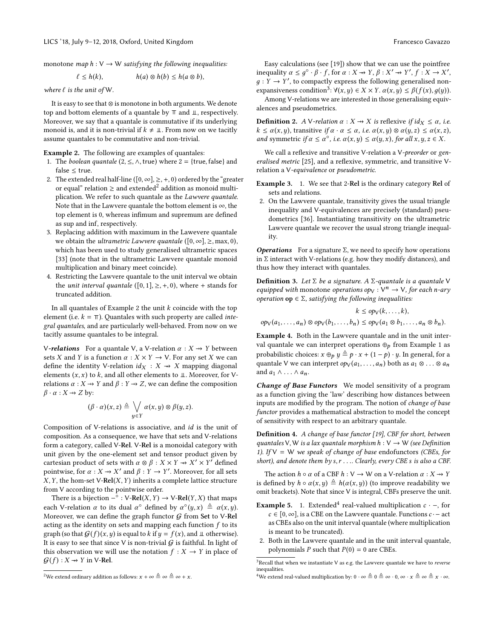monotone map  $h: V \to W$  satisfying the following inequalities:

$$
\ell \leq h(k), \qquad h(a) \otimes h(b) \leq h(a \otimes b),
$$

where  $\ell$  is the unit of W.

It is easy to see that ⊗ is monotone in both arguments. We denote top and bottom elements of a quantale by  $\pi$  and  $\mathbb{L}$ , respectively. Moreover, we say that a quantale is commutative if its underlying monoid is, and it is non-trivial if  $k \neq \mathbb{I}$ . From now on we tacitly assume quantales to be commutative and non-trivial.

Example 2. The following are examples of quantales:

- 1. The *boolean quantale* (2,  $\leq$ ,  $\wedge$ , true) where 2 = {true, false} and false  $\leq$  true.
- 2. The extended real half-line ([0,  $\infty$ ],  $\geq$ , +, 0) ordered by the "greater or equal" relation  $\geq$  and extended<sup>2</sup> addition as monoid multiplication. We refer to such quantale as the Lawvere quantale. Note that in the Lawvere quantale the bottom element is  $\infty$ , the top element is 0, whereas infimum and supremum are defined as sup and inf, respectively.
- 3. Replacing addition with maximum in the Lawevere quantale we obtain the *ultrametric Lawvere quantale* ( $[0, \infty]$ ,  $\geq$ , max, 0), which has been used to study generalised ultrametric spaces [33] (note that in the ultrametric Lawvere quantale monoid multiplication and binary meet coincide).
- 4. Restricting the Lawvere quantale to the unit interval we obtain the *unit interval quantale* ([0, 1],  $\geq$ , +, 0), where + stands for truncated addition.

In all quantales of Example 2 the unit  $k$  coincide with the top element (i.e.  $k = \pi$ ). Quantales with such property are called *inte*gral quantales, and are particularly well-behaved. From now on we tacitly assume quantales to be integral.

V-relations For a quantale V, a V-relation  $\alpha : X \rightarrow Y$  between sets X and Y is a function  $\alpha : X \times Y \to V$ . For any set X we can define the identity V-relation  $id_X : X \rightarrow X$  mapping diagonal elements  $(x, x)$  to k, and all other elements to  $\perp$ . Moreover, for Vrelations  $\alpha: X \rightarrow Y$  and  $\beta: Y \rightarrow Z$ , we can define the composition  $\beta \cdot \alpha : X \rightarrow Z$  by:

$$
(\beta \cdot \alpha)(x, z) \triangleq \bigvee_{y \in Y} \alpha(x, y) \otimes \beta(y, z).
$$

Composition of V-relations is associative, and id is the unit of composition. As a consequence, we have that sets and V-relations form a category, called V-Rel. V-Rel is a monoidal category with unit given by the one-element set and tensor product given by cartesian product of sets with  $\alpha \otimes \beta : X \times Y \rightarrow X' \times Y'$  defined pointwise, for  $\alpha: X \to X'$  and  $\beta: Y \to Y'$ . Moreover, for all sets  $X, Y$ , the hom-set V-Rel $(X, Y)$  inherits a complete lattice structure from V according to the pointwise order.

There is a bijection  $-\hat{°}$ : V-Rel $(X, Y) \rightarrow V$ -Rel $(Y, X)$  that maps<br>the V-relation  $\alpha$  to its dual  $\alpha^\circ$  defined by  $\alpha^\circ(u, x) \triangleq \alpha(x, u)$ each V-relation  $\alpha$  to its dual  $\alpha^{\circ}$  defined by  $\alpha^{\circ}(y, x) \triangleq \alpha(x, y)$ .<br>Moreover we can define the graph functor G from Set to V-Pel Moreover, we can define the graph functor  $G$  from Set to V-Rel acting as the identity on sets and mapping each function  $f$  to its graph (so that  $G(f)(x, y)$  is equal to k if  $y = f(x)$ , and  $\perp$  otherwise). It is easy to see that since V is non-trivial  $G$  is faithful. In light of this observation we will use the notation  $f : X \to Y$  in place of  $G(f)$  :  $X \rightarrow Y$  in V-Rel.

Easy calculations (see [19]) show that we can use the pointfree inequality  $\alpha \leq g^{\circ} \cdot \beta \cdot f$ , for  $\alpha : X \to Y$ ,  $\beta : X' \to Y'$ ,  $f : X \to X'$ ,  $g: Y \to Y'$ , to compactly express the following generalised non-

expansiveness condition<sup>3</sup>:  $\forall (x, y) \in X \times Y$ .  $\alpha(x, y) \leq \beta(f(x), g(y))$ .<br>Among V-relations we are interested in those generalising equiv-Among V-relations we are interested in those generalising equivalences and pseudometrics.

**Definition 2.** A V-relation  $\alpha : X \rightarrow X$  is reflexive if  $id_X \leq \alpha$ , i.e.  $k \leq \alpha(x, y)$ , transitive if  $\alpha \cdot \alpha \leq \alpha$ , i.e.  $\alpha(x, y) \otimes \alpha(y, z) \leq \alpha(x, z)$ , and symmetric if  $\alpha \leq \alpha^{\circ}$ , i.e.  $\alpha(x, y) \leq \alpha(y, x)$ , for all  $x, y, z \in X$ .

We call a reflexive and transitive V-relation a V-preorder or generalised metric [25], and a reflexive, symmetric, and transitive Vrelation a V-equivalence or pseudometric.

- Example 3. 1. We see that 2-Rel is the ordinary category Rel of sets and relations.
- 2. On the Lawvere quantale, transitivity gives the usual triangle inequality and V-equivalences are precisely (standard) pseudometrics [36]. Instantiating transitivity on the ultrametric Lawvere quantale we recover the usual strong triangle inequality.

**Operations** For a signature  $\Sigma$ , we need to specify how operations in  $\Sigma$  interact with V-relations (e.g. how they modify distances), and thus how they interact with quantales.

**Definition 3.** Let  $\Sigma$  be a signature. A  $\Sigma$ -quantale is a quantale V equipped with monotone operations  $op_V: V^n \to V$ , for each n-ary operation  $op \in \Sigma$ , satisfying the following inequalities:

$$
k \le op_V(k,\ldots,k),
$$
  
 
$$
op_V(a_1,\ldots,a_n) \otimes op_V(b_1,\ldots,b_n) \le op_V(a_1 \otimes b_1,\ldots,a_n \otimes b_n).
$$

Example 4. Both in the Lawvere quantale and in the unit interval quantale we can interpret operations  $\oplus_p$  from Example 1 as probabilistic choices:  $x \oplus_p y \triangleq p \cdot x + (1 - p) \cdot y$ . In general, for a quantale V we can interpret  $op_V(a_1, \ldots, a_n)$  both as  $a_1 \otimes \ldots \otimes a_n$ and  $a_1 \wedge \ldots \wedge a_n$ .

Change of Base Functors We model sensitivity of a program as a function giving the 'law' describing how distances between inputs are modified by the program. The notion of change of base functor provides a mathematical abstraction to model the concept of sensitivity with respect to an arbitrary quantale.

Definition 4. A change of base functor [19], CBF for short, between quantales V, W is a lax quantale morphism  $h: V \to W$  (see Definition 1). If  $V = W$  we speak of change of base endofunctors (CBEs, for short), and denote them by  $s, r \ldots$  Clearly, every CBE s is also a CBF.

The action  $h \circ \alpha$  of a CBF  $h : V \to W$  on a V-relation  $\alpha : X \to Y$ is defined by  $h \circ \alpha(x, y) \triangleq h(\alpha(x, y))$  (to improve readability we omit brackets). Note that since V is integral, CBFs preserve the unit.

- **Example 5.** 1. Extended<sup>4</sup> real-valued multiplication  $c \cdot -$ , for  $c \in [0, \infty]$ , is a CBE on the Lawvere quantale. Functions  $c \cdot -$  act as CBEs also on the unit interval quantale (where multiplication is meant to be truncated).
- 2. Both in the Lawvere quantale and in the unit interval quantale, polynomials P such that  $P(0) = 0$  are CBEs.

 $^2\text{We extend ordinary addition as follows: } x + \infty \triangleq \infty \triangleq \infty + x.$ 

 $3$ Recall that when we instantiate V as e.g. the Lawvere quantale we have to *reverse* inequalities.

<sup>&</sup>lt;sup>4</sup>We extend real-valued multiplication by: 0  $\cdot \infty \triangleq 0 \triangleq \infty \cdot 0$ ,  $\infty \cdot x \triangleq \infty \triangleq x \cdot \infty$ .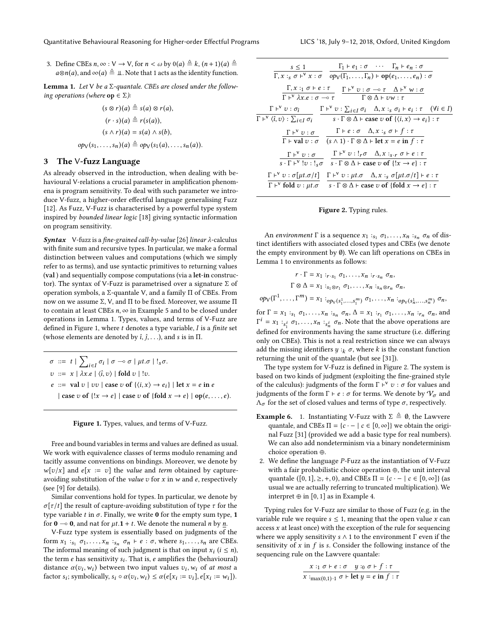Quantitative Behavioural Reasoning for Higher-order Effectful Programs LICS '18, July 9–12, 2018, Oxford, United Kingdom

3. Define CBEs  $n, \infty : V \to V$ , for  $n < \omega$  by  $0(a) \triangleq k$ ,  $(n+1)(a) \triangleq$  $a\otimes n(a)$ , and  $\infty(a) \triangleq \perp$ . Note that 1 acts as the identity function.

**Lemma 1.** Let V be a  $\Sigma$ -quantale. CBEs are closed under the following operations (where  $op \in \Sigma$ ):

$$
(s \otimes r)(a) \triangleq s(a) \otimes r(a),
$$
  
\n
$$
(r \cdot s)(a) \triangleq r(s(a)),
$$
  
\n
$$
(s \wedge r)(a) = s(a) \wedge s(b),
$$
  
\n
$$
op_V(s_1, \ldots, s_n)(a) \triangleq op_V(s_1(a), \ldots, s_n(a)).
$$

## 3 The V-fuzz Language

As already observed in the introduction, when dealing with behavioural V-relations a crucial parameter in amplification phenomena is program sensitivity. To deal with such parameter we introduce V-fuzz, a higher-order effectful language generalising Fuzz [12]. As Fuzz, V-Fuzz is characterised by a powerful type system inspired by bounded linear logic [18] giving syntactic information on program sensitivity.

Syntax V-fuzz is a fine-grained call-by-value [26] linear  $\lambda$ -calculus with finite sum and recursive types. In particular, we make a formal distinction between values and computations (which we simply refer to as terms), and use syntactic primitives to returning values (val ) and sequentially compose computations (via a let-in constructor). The syntax of V-Fuzz is parametrised over a signature  $\Sigma$  of operation symbols, a Σ-quantale <sup>V</sup>, and a family Π of CBEs. From now on we assume Σ, <sup>V</sup>, and Π to be fixed. Moreover, we assume Π to contain at least CBEs  $n$ ,  $\infty$  in Example 5 and to be closed under operations in Lemma 1. Types, values, and terms of V-Fuzz are defined in Figure 1, where  $t$  denotes a type variable,  $I$  is a finite set (whose elements are denoted by  $\hat{i}$ ,  $\hat{j}$ , . . .), and s is in  $\Pi$ .

$$
\sigma ::= t | \sum_{i \in I} \sigma_i | \sigma \neg \sigma | \mu t.\sigma | !_{s}\sigma.
$$
  
\n
$$
v ::= x | \lambda x.e | \langle \hat{\imath}, v \rangle | \text{fold } v | !v.
$$
  
\n
$$
e ::= \text{val } v | vv | \text{case } v \text{ of } \{ \langle i, x \rangle \rightarrow e_i \} | \text{let } x = e \text{ in } e
$$
  
\n
$$
| \text{case } v \text{ of } \{ !x \rightarrow e \} | \text{case } v \text{ of } \{ \text{fold } x \rightarrow e \} | \text{op}(e, \dots, e).
$$

#### Figure 1. Types, values, and terms of V-Fuzz.

Free and bound variables in terms and values are defined as usual. We work with equivalence classes of terms modulo renaming and tacitly assume conventions on bindings. Moreover, we denote by  $w[v/x]$  and  $e[x := v]$  the value and term obtained by captureavoiding substitution of the value  $v$  for  $x$  in  $w$  and  $e$ , respectively (see [9] for details).

Similar conventions hold for types. In particular, we denote by  $\sigma[\tau/t]$  the result of capture-avoiding substitution of type  $\tau$  for the type variable t in  $\sigma$ . Finally, we write 0 for the empty sum type, 1 for  $\mathbf{0} \rightarrow \mathbf{0}$ , and nat for  $\mu t \cdot \mathbf{1} + t$ . We denote the numeral *n* by *n*.

V-Fuzz type system is essentially based on judgments of the form  $x_1$ :  $s_1$   $\sigma_1, \ldots, x_n$ :  $s_n$   $\sigma_n$   $\vdash$   $e : \sigma$ , where  $s_1, \ldots, s_n$  are CBEs.<br>The informal meaning of such judgment is that on input  $x : (i \le n)$ . The informal meaning of such judgment is that on input  $x_i$   $(i \le n)$ ,<br>the term a hos sonsitivity  $s_i$ . That is a emplifies the (behavioural) the term *e* has sensitivity  $s_i$ . That is, *e* amplifies the (behavioural) distance  $g(x, y_i)$  between two input values  $z_i$ ,  $y_i$  of *at* most a distance  $\alpha(v_i, w_i)$  between two input values  $v_i, w_i$  of at most a factor  $\alpha(v_i, w_i) \leq \alpha(e[x_i, y_i, y_i]) \leq \alpha(e[x_i, y_i, y_i]) e[x_i, y_i, y_i]$ factor  $s_i$ ; symbolically,  $s_i \circ \alpha(v_i, w_i) \leq \alpha(e[x_i := v_i], e[x_i := w_i]).$ 

| $\Gamma_1 \vdash e_1 : \sigma \quad \cdots \quad \Gamma_n \vdash e_n : \sigma$<br>$s \leq 1$<br>$\Gamma, x :_{s} \sigma \vdash^{V} x : \sigma \quad op_{V}(\Gamma_{1}, \ldots, \Gamma_{n}) \vdash op(e_{1}, \ldots, e_{n}) : \sigma$                                                                                                                                                 |
|--------------------------------------------------------------------------------------------------------------------------------------------------------------------------------------------------------------------------------------------------------------------------------------------------------------------------------------------------------------------------------------|
| $\Gamma, x :_1 \sigma \vdash e : \tau$ $\Gamma \vdash^{\vee} v : \sigma \multimap \tau$ $\Delta \vdash^{\vee} w : \sigma$<br>$\Gamma \vdash^{\vee} \lambda x.e : \sigma \multimap \tau$ $\Gamma \otimes \Delta \vdash vw : \tau$                                                                                                                                                     |
| $\Gamma \vdash^{\vee} v : \sigma_{\hat{i}} \qquad \Gamma \vdash^{\vee} v : \sum_{i \in I} \sigma_{i} \quad \Delta, x :_{s} \sigma_{i} \vdash e_{i} : \tau \quad (\forall i \in I)$<br>$\Gamma\vdash^{\vee}\langle \hat{\iota},\nu\rangle:\sum_{i\in I}\sigma_i$<br>$s \cdot \Gamma \otimes \Delta \vdash \text{case } v \text{ of } \{\langle i, x \rangle \rightarrow e_i\} : \tau$ |
| $\Gamma\vdash^{\mathsf{v}}\upsilon:\sigma\qquad\quad \Gamma\vdash e:\sigma\quad \Delta,x:_s\sigma\vdash f:\tau$<br>$\Gamma$ + val $v : \sigma$ $(s \wedge 1) \cdot \Gamma \otimes \Delta$ + let $x = e$ in $f : \tau$                                                                                                                                                                |
| $\Gamma \vdash^{V} v : \sigma$ $\Gamma \vdash^{V} v : !_{r} \sigma \Delta, x :_{s,r} \sigma \vdash e : \tau$<br>$s \cdot \Gamma \vdash^{\vee} !\upsilon : !_{s}\sigma$ $s \cdot \Gamma \otimes \Delta \vdash$ case $\upsilon$ of $\{!x \rightarrow e\} : \tau$                                                                                                                       |
| $\Gamma\vdash^{\vee} v:\sigma[\mu t.\sigma/t]\quad \Gamma\vdash^{\vee} v:\mu t.\sigma\quad \Delta,x:_s\sigma[\mu t.\sigma/t]\vdash e:\tau$<br>$\Gamma \vdash^{\vee} \text{fold } v : \mu t. \sigma \quad s \cdot \Gamma \otimes \Delta \vdash \text{case } v \text{ of } \{\text{fold } x \rightarrow e\} : \tau$                                                                    |

#### Figure 2. Typing rules.

An environment  $\Gamma$  is a sequence  $x_1 :_{s_1} \sigma_1, \ldots, x_n :_{s_n} \sigma_n$  of dis-<br>of identifiers with associated closed types and CBEs (we denote tinct identifiers with associated closed types and CBEs (we denote the empty environment by ∅). We can lift operations on CBEs in Lemma 1 to environments as follows:

$$
r \cdot \Gamma = x_1 :_{r \cdot s_1} \sigma_1, \ldots, x_n :_{r \cdot s_n} \sigma_n,
$$
  

$$
\Gamma \otimes \Delta = x_1 :_{s_1 \otimes r_1} \sigma_1, \ldots, x_n :_{s_n \otimes r_n} \sigma_n,
$$

 $op_V(\Gamma^1, \ldots, \Gamma^m) = x_1 :_{op_V(s_1^1, \ldots, s_1^m)} \sigma_1, \ldots, x_n :_{op_V(s_n^1, \ldots, s_n^m)} \sigma_n,$ 

for  $\Gamma = x_1 :_{s_1} \sigma_1, \ldots, x_n :_{s_n} \sigma_n, \Delta = x_1 :_{r_1} \sigma_1, \ldots, x_n :_{r_n} \sigma_n$ , and<br> $\Gamma^i = x_i :_{\sigma} \sigma_i$  . Note that the above operations are defined for environments having the same structure (i.e. differing  $i = x_1 :_{s_i^i} \sigma_1, \ldots, x_n :_{s_i^i} \sigma_n$ . Note that the above operations are<br>if we define the second begins the second trackers (i.e. different only on CBEs). This is not a real restriction since we can always add the missing identifiers  $y :_{k} \sigma$ , where k is the constant function returning the unit of the quantale (but see [31]).

The type system for V-Fuzz is defined in Figure 2. The system is based on two kinds of judgment (exploiting the fine-grained style of the calculus): judgments of the form  $\Gamma \vdash^{\vee} v : \sigma$  for values and<br>indemnate of the form  $\Gamma \vdash e : \sigma$  for terms. We denote by W, and judgments of the form Γ ⊦ *e* :  $\sigma$  for terms. We denote by  $V_{\sigma}$  and  $\Lambda_{\sigma}$  for the set of closed values and terms of type  $\sigma$ , respectively.

- **Example 6.** 1. Instantiating V-Fuzz with  $\Sigma \triangleq \emptyset$ , the Lawvere quantale, and CBEs  $\Pi = \{c - | c \in [0, \infty] \}$  we obtain the original Fuzz [31] (provided we add a basic type for real numbers). We can also add nondeterminism via a binary nondeterminism choice operation ⊕.
- 2. We define the language P-Fuzz as the instantiation of V-Fuzz with a fair probabilistic choice operation ⊕, the unit interval quantale ([0, 1],  $\geq$ , +, 0), and CBEs  $\Pi = \{c - | c \in [0, \infty]\}$  (as usual we are actually referring to truncated multiplication). We interpret  $\oplus$  in [0, 1] as in Example 4.

Typing rules for V-Fuzz are similar to those of Fuzz (e.g. in the variable rule we require  $s \leq 1$ , meaning that the open value x can access  $x$  at least once) with the exception of the rule for sequencing where we apply sensitivity  $s \wedge 1$  to the environment  $\Gamma$  even if the sensitivity of  $x$  in  $f$  is  $s$ . Consider the following instance of the sequencing rule on the Lawvere quantale:

$$
\frac{x :_{1} \sigma + e : \sigma \quad y :_{0} \sigma + f : \tau}{x :_{\max(0,1) \cdot 1} \sigma + \text{let } y = e \text{ in } f : \tau}
$$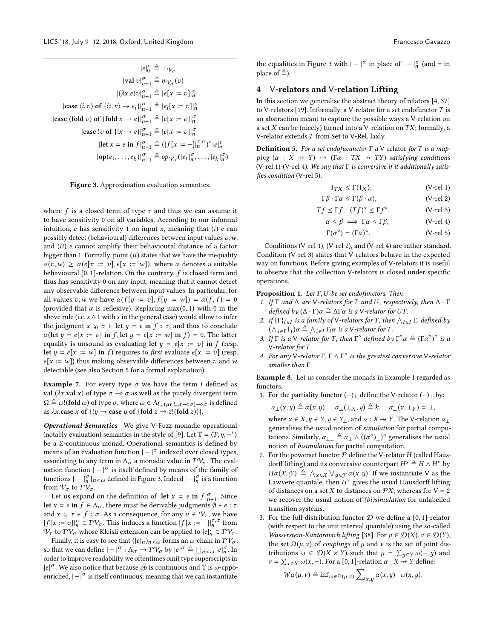$$
|e|_0^{\sigma} \triangleq \bot \gamma_{\sigma}
$$
  
\n
$$
|\text{val } v|_{n+1}^{\sigma} \triangleq \eta \gamma_{\sigma}(v)
$$
  
\n
$$
|(\lambda x.e)v|_{n+1}^{\sigma} \triangleq |e[x := v]|_n^{\sigma}
$$
  
\n
$$
|\text{case } \langle \hat{\mathbf{i}}, v \rangle \text{ of } \{ \langle \mathbf{i}, x \rangle \rightarrow e_i \} |_{n+1}^{\sigma} \triangleq |e_i[x := v]|_n^{\sigma}
$$
  
\n
$$
|\text{case } \{ \text{fold } v \} \text{ of } \{ \text{fold } x \rightarrow e \} |_{n+1}^{\sigma} \triangleq |e[x := v]|_n^{\sigma}
$$
  
\n
$$
|\text{case } !v \text{ of } \{ !x \rightarrow e \} |_{n+1}^{\sigma} \triangleq |e[x := v]|_n^{\sigma}
$$
  
\n
$$
|\text{let } x = e \text{ in } f|_{n+1}^{\sigma} \triangleq (|f[x := -]|_n^{\tau} \sigma)^* |e|_n^{\tau}
$$
  
\n
$$
|\text{op}(e_1, \ldots, e_k)|_{n+1}^{\sigma} \triangleq \text{op}_{\mathcal{V}_{\sigma}} (|e_1|_n^{\sigma}, \ldots, |e_k|_n^{\sigma})
$$

Figure 3. Approximation evaluation semantics.

 $\overline{a}$ 

where  $f$  is a closed term of type  $\tau$  and thus we can assume it to have sensitivity 0 on all variables. According to our informal intuition,  $e$  has sensitivity 1 on input  $x$ , meaning that  $(i)$   $e$  can possibly detect (behavioural) differences between input values  $v, w$ , and (ii) <sup>e</sup> cannot amplify their behavioural distance of a factor bigger than 1. Formally, point  $(ii)$  states that we have the inequality  $\alpha(v,w) \geq \alpha(e[x := v], e[x := w]),$  where  $\alpha$  denotes a suitable behavioural [0, 1]-relation. On the contrary, f is closed term and thus has sensitivity 0 on any input, meaning that it cannot detect any observable difference between input values. In particular, for all values v, w we have  $\alpha(f[y := v], f[y := w]) = \alpha(f, f) = 0$ (provided that  $\alpha$  is reflexive). Replacing max(0, 1) with 0 in the above rule (i.e. s  $\land$  1 with s in the general case) would allow to infer the judgment  $x :_0 \sigma \vdash \text{let } y = e \text{ in } f : \tau$ , and thus to conclude  $\alpha$ (let  $y = e[x := v]$  in f, let  $y = e[x := w]$  in f) = 0. The latter equality is unsound as evaluating let  $y = e[x := v]$  in f (resp. let  $y = e[x := w]$  in f) requires to first evaluate  $e[x := v]$  (resp.  $e[x := w]$ ) thus making observable differences between v and w detectable (see also Section 5 for a formal explanation).

**Example 7.** For every type  $\sigma$  we have the term I defined as **val** (λx.val x) of type  $σ$  →  $σ$  as well as the purely divergent term  $\Omega\triangleq\omega!({\hbox{fold }\omega})$  of type  $\sigma,$  where  $\omega\in\Lambda_{!_\infty(\mu t.!_\infty t-\circ\sigma)-\circ\sigma}$  is defined as  $\lambda x$  case x of  $\{y \rightarrow \text{case } y \text{ of } \{\text{fold } z \rightarrow z \mid (\text{fold } z)\}\}.$ 

Operational Semantics We give V-Fuzz monadic operational (notably evaluation) semantics in the style of [9]. Let  $\mathbb{T} = \langle T, \eta, -^* \rangle$ be a Σ-continuous monad. Operational semantics is defined by means of an evaluation function  $|-|^\sigma$  indexed over closed types, associating to any term in  $\Lambda_{\sigma}$  a monadic value in  $T\mathcal{V}_{\sigma}$ . The evaluation function  $|-|^\sigma$  is itself defined by means of the family of functions { $|-|_{n}^{\sigma}|_{n<\omega}$  defined in Figure 3. Indeed  $|-|_{n}^{\sigma}|$  is a function<br>from  $\Omega$  to  $T\Omega$ from  $V_{\sigma}$  to  $T\ddot{V}_{\sigma}$ .

Let us expand on the definition of  $|\text{let } x = e \text{ in } f|_{n+1}^{\sigma}$ . Since Let us expand on the derivation of  $\left| \det x \right| = e$  in  $f \mid_{n+1}$ , since<br>let  $x = e$  in  $f \in \Lambda_{\sigma}$ , there must be derivable judgments  $\emptyset \vdash e : \tau$ and  $x :_{s} \tau \vdash f : \sigma$ . As a consequence, for any  $v \in \mathcal{V}_{\tau}$ , we have  $|f[x := v]|_n^{\sigma} \in TV_{\sigma}$ . This induces a function  $|f[x := -]|_n^{\tau, \sigma}$  from  $V_{\sigma}$  to  $TV_{\sigma}$ , whose Kleisli extension can be applied to  $|e|^{\tau} \in TV_{\sigma}$ .  $V_{\tau}$  to  $T V_{\sigma}$  whose Kleisli extension can be applied to  $|e|_{h}^{\tau} \in T V_{\tau}$ .<br>Finally it is easy to see that  $(|e|_{v})_{v \in \mathbb{R}}$  forms an  $\omega$ -chain in  $T V_{\tau}$ .

Finally, it is easy to see that  $(|e|_n)_{n<\omega}$  forms an  $\omega$ -chain in  $T\mathcal{V}_\sigma$ , so that we can define  $| - |^{\sigma} : \Lambda_{\sigma} \to TV_{\sigma}$  by  $|e|^{\sigma} \triangleq \bigsqcup_{n < \omega} |e|_n^{\sigma}$ . In order to improve readobility we often times omit type supercorrints in n order to improve readability we oftentimes omit type superscripts in  $|e|^{\sigma}$ . We also notice that because *op* is continuous and  $\mathbb T$  is  $\omega$ -cppoenriched,  $|-|^{\sigma}$  is itself continuous, meaning that we can instantiate

the equalities in Figure 3 with  $|-|^\sigma$  in place of  $|-|^\sigma_n$  (and = in place of  $\triangleq$ ).

## 4 V-relators and V-relation Lifting

In this section we generalise the abstract theory of relators [4, 37] to V-relators [19]. Informally, a V-relator for a set endofunctor  $T$  is an abstraction meant to capture the possible ways a V-relation on a set  $X$  can be (nicely) turned into a V-relation on  $TX$ ; formally, a V-relator extends T from Set to V-Rel, laxly.

**Definition 5.** For a set endofucunctor  $T$  a V-relator for  $T$  is a mapping  $(\alpha : X \rightarrow Y) \mapsto (\Gamma \alpha : TX \rightarrow TY)$  satisfying conditions (V-rel 1)-(V-rel 4). We say that Γ is conversive if it additionally satisfies condition (V-rel 5).

$$
1_{TX} \le \Gamma(1_X), \tag{V-rel 1}
$$

 $Γβ ⋅ Γα ≤ Γ(β ⋅ α),$  (V-rel 2)

$$
Tf \le \Gamma f
$$
,  $(Tf)^{\circ} \le \Gamma f^{\circ}$ ,  $(V\text{-rel 3})$ 

$$
\alpha \le \beta \implies \Gamma \alpha \le \Gamma \beta, \tag{V-rel 4}
$$

$$
\Gamma(\alpha^{\circ}) = (\Gamma \alpha)^{\circ}.
$$
 (V-rel 5)

Conditions (V-rel 1), (V-rel 2), and (V-rel 4) are rather standard. Condition (V-rel 3) states that V-relators behave in the expected way on functions. Before giving examples of V-relators it is useful to observe that the collection V-relators is closed under specific operations.

**Proposition 1.** Let  $T$ ,  $U$  be set endofunctors. Then:

- 1. If  $\Gamma$  and  $\Delta$  are V-relators for  $T$  and U, respectively, then  $\Delta \cdot \Gamma$ defined by  $(\Delta \cdot \Gamma)\alpha \triangleq \Delta \Gamma \alpha$  is a V-relator for UT.
- 2. If  ${\{\Gamma_i\}_{i\in I}}$  is a family of V-relators for T, then  $\bigwedge_{i\in I} \Gamma_i$  defined by<br> $\bigwedge_{i\in I} \Gamma_i \cong \bigwedge_{i\in I} \Gamma_i$  is a V-relator for T.  $\frac{1}{i}$ <br> $\frac{1}{i}$  $\bigwedge_{i \in I} \Gamma_i$ ) $\alpha \triangleq \bigwedge_{i \in I} \Gamma_i \alpha$  is a V-relator for T.<br> *f*  $\Gamma$  is a V relator for T, then  $\Gamma^{\circ}$  defined by
- 3. If  $\Gamma$  is a V-relator for T, then  $\Gamma^{\circ}$  defined by  $\Gamma^{\circ} \alpha \triangleq (\Gamma \alpha^{\circ})$ <br>V-relator for T  $\overline{\phantom{a}}$  $\degree$  is a V-relator for T.
- 4. For any  $\check{V}$ -relator  $\Gamma$ ,  $\Gamma \wedge \Gamma^{\circ}$  is the greatest conversive  $\check{V}$ -relator smaller than  $\Gamma$ smaller than Γ.

Example 8. Let us consider the monads in Example 1 regarded as functors.

1. For the partiality functor  $(-)_\perp$  define the V-relator  $(-)_\perp$  by:

 $\alpha_{\perp}(x,y) \triangleq \alpha(x,y), \quad \alpha_{\perp}(\perp_X, y) \triangleq k, \quad \alpha_{\perp}(x,\perp_Y) = \perp$ 

where  $x \in X, y \in Y, y \in Y_{\perp}$ , and  $\alpha : X \rightarrow Y$ . The V-relation  $\alpha_{\perp}$ generalises the usual notion of simulation for partial computations. Similarly,  $\alpha_{\perp\perp} \triangleq \alpha_{\perp} \wedge ((\alpha^{\circ})_{\perp})^{\circ}$  generalises the usual<br>notion of hisimulation for partial computation notion of bisimulation for partial computation.

- 2. For the powerset functor  $P$  define the V-relator  $H$  (called Hausdorff lifting) and its conversive counterpart  $H^s \triangleq H \wedge H^{\circ}$  by  $Ha(X, Y) \triangleq \bigwedge_{X \in X} \bigvee_{y \in Y} a(x, y)$ . If we instantiate V as the Lawvere quantale, then  $H^s$  gives the usual Hausdorff lifting of distances on a set X to distances on  $\mathcal{P}X$ , whereas for  $V = 2$ we recover the usual notion of (bi)simulation for unlabelled transition systems.
- 3. For the full distribution functor  $D$  we define a [0, 1]-relator (with respect to the unit interval quantale) using the so-called Wasserstein-Kantorovich lifting [38]. For  $\mu \in \mathcal{D}(X)$ ,  $\nu \in \mathcal{D}(Y)$ , the set  $\Omega(\mu, \nu)$  of *couplings* of  $\mu$  and  $\nu$  is the set of joint distributions  $\omega \in \mathcal{D}(X \times Y)$  such that  $\mu = \sum_{y \in Y} \omega(-, y)$  and  $y = \sum_{y \in \mathcal{N}} \omega(x - y)$  for a [0, 1]-relation  $\alpha : X \to Y$  define:  $v = \sum_{x \in X} \omega(x, -)$ . For a [0, 1]-relation  $\alpha : X \to Y$  define:

$$
W\alpha(\mu, \nu) \triangleq \inf_{\omega \in \Omega(\mu, \nu)} \sum_{x,y} \alpha(x,y) \cdot \omega(x,y).
$$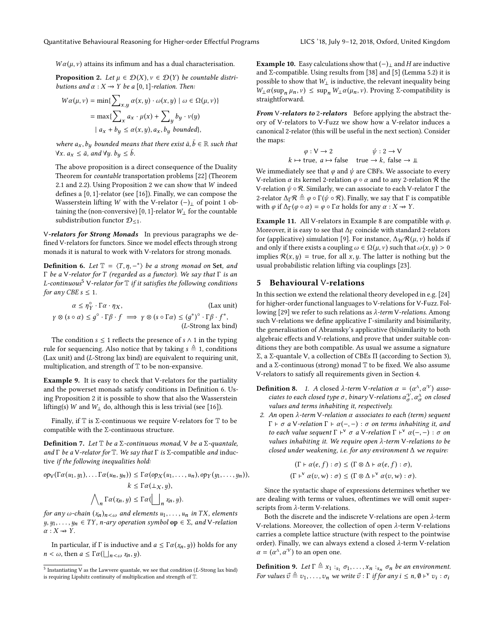$W\alpha(\mu, \nu)$  attains its infimum and has a dual characterisation.

**Proposition 2.** Let  $\mu \in \mathcal{D}(X), \nu \in \mathcal{D}(Y)$  be countable distributions and  $\alpha : X \rightarrow Y$  be a [0, 1]-relation. Then:

$$
W\alpha(\mu, \nu) = \min\{\sum_{x,y} \alpha(x,y) \cdot \omega(x,y) \mid \omega \in \Omega(\mu, \nu)\}
$$

$$
= \max\{\sum_{x} a_x \cdot \mu(x) + \sum_{y} b_y \cdot \nu(y)
$$

$$
\mid a_x + b_y \le \alpha(x,y), a_x, b_y \text{ bounded}\},\
$$

where  $a_x$ ,  $b_y$  bounded means that there exist  $\bar{a}, \bar{b} \in \mathbb{R}$  such that  $\forall x, a \leq \bar{a}$  and  $\forall y, b \leq \bar{b}$  $\forall x. a_x \leq \bar{a}$ , and  $\forall y. b_y \leq \bar{b}$ .

The above proposition is a direct consequence of the Duality Theorem for countable transportation problems [22] (Theorem 2.1 and 2.2). Using Proposition 2 we can show that W indeed defines a [0, 1]-relator (see [16]). Finally, we can compose the Wasserstein lifting W with the V-relator  $(-)$ <sub>⊥</sub> of point 1 obtaining the (non-conversive) [0, 1]-relator  $W_\perp$  for the countable subdistribution functor  $\mathcal{D}_{\leq 1}$ .

V-relators for Strong Monads In previous paragraphs we defined V-relators for functors. Since we model effects through strong monads it is natural to work with V-relators for strong monads.

**Definition 6.** Let  $\mathbb{T} = \langle T, \eta, -^* \rangle$  be a strong monad on Set, and Γ be a V-relator for T (regarded as a functor). We say that  $Γ$  is an L-continuous<sup>5</sup> V-relator for  $\mathbb T$  if it satisfies the following conditions for any CBE  $s \leq 1$ .

 $\alpha \leq \eta_{\lambda}^{\circ}$  $\int_{Y}^{\infty} \cdot \Gamma \alpha \cdot \eta_X,$  (Lax unit)  $\gamma \otimes (s \circ \alpha) \leq g^{\circ} \cdot \Gamma \beta \cdot f \implies \gamma \otimes (s \circ \Gamma \alpha) \leq (g^*)^{\circ} \cdot \Gamma \beta \cdot f^*$ ,<br>(*I*-Strong lay bit) ) (L-Strong lax bind)

The condition  $s \leq 1$  reflects the presence of  $s \wedge 1$  in the typing rule for sequencing. Also notice that by taking  $s \triangleq 1$ , conditions (Lax unit) and (L-Strong lax bind) are equivalent to requiring unit, multiplication, and strength of  $T$  to be non-expansive.

Example 9. It is easy to check that V-relators for the partiality and the powerset monads satisfy conditions in Definition 6. Using Proposition 2 it is possible to show that also the Wasserstein lifting(s) W and  $W_\perp$  do, although this is less trivial (see [16]).

Finally, if  $\mathbb T$  is  $\Sigma$ -continuous we require V-relators for  $\mathbb T$  to be compatible with the Σ-continuous structure.

**Definition 7.** Let  $\mathbb T$  be a Σ-continuous monad,  $\vee$  be a Σ-quantale, and  $\Gamma$  be a V-relator for  $\mathbb T$ . We say that  $\Gamma$  is  $\Sigma$ -compatible and inductive if the following inequalities hold:

$$
op_V(\Gamma \alpha(u_1, y_1), \dots \Gamma \alpha(u_n, y_n)) \leq \Gamma \alpha(op_X(u_1, \dots, u_n), op_Y(y_1, \dots, y_n)),
$$
  

$$
k \leq \Gamma \alpha(\perp_X, y),
$$
  

$$
\bigwedge_n \Gamma \alpha(x_n, y) \leq \Gamma \alpha(\bigsqcup_n x_n, y).
$$

for any  $\omega$ -chain  $(\chi_n)_{n \leq \omega}$  and elements  $u_1, \ldots, u_n$  in TX, elements  $y, y_1, \ldots, y_n \in TY$ , *n*-ary operation symbol  $op \in \Sigma$ , and V-relation  $\alpha: X \rightarrow Y$ .

In particular, if  $\Gamma$  is inductive and  $a \leq \Gamma \alpha(\chi_n, y)$ ) holds for any  $n < \omega$ , then  $a \leq \Gamma \alpha (\bigsqcup_{n < \omega} x_n, y)$ .

**Example 10.** Easy calculations show that  $(-)$ <sub>⊥</sub> and H are inductive and  $\Sigma$ -compatible. Using results from [38] and [5] (Lemma 5.2) it is possible to show that  $W_{\perp}$  is inductive, the relevant inequality being  $W_⊥α$ (sup<sub>n</sub> μ<sub>n</sub>, ν) ≤ sup<sub>n</sub>  $W_⊥α(μ_n, ν)$ . Proving Σ-compatibility is straightforward straightforward.

From V-relators to 2-relators Before applying the abstract theory of V-relators to V-Fuzz we show how a V-relator induces a canonical 2-relator (this will be useful in the next section). Consider the maps:

$$
\varphi : V \to 2 \qquad \psi : 2 \to V
$$
  

$$
k \mapsto \text{true}, \ a \mapsto \text{false} \quad \text{true} \to k, \ \text{false} \to \bot
$$

We immediately see that  $\varphi$  and  $\psi$  are CBFs. We associate to every V-relation  $\alpha$  its kernel 2-relation  $\varphi \circ \alpha$  and to any 2-relation  $\Re$  the V-relation  $\psi \circ \mathcal{R}$ . Similarly, we can associate to each V-relator Γ the 2-relator  $\Delta_{\Gamma} \mathcal{R} \triangleq \varphi \circ \Gamma(\psi \circ \mathcal{R})$ . Finally, we say that  $\Gamma$  is compatible with  $\varphi$  if  $\Delta_{\Gamma}(\varphi \circ \alpha) = \varphi \circ \Gamma \alpha$  holds for any  $\alpha : X \to Y$ .

**Example 11.** All V-relators in Example 8 are compatible with  $\varphi$ . Moreover, it is easy to see that  $\Delta_{\Gamma}$  coincide with standard 2-relators for (applicative) simulation [9]. For instance,  $\Delta_W \mathcal{R}(\mu, \nu)$  holds if and only if there exists a coupling  $\omega \in \Omega(\mu, \nu)$  such that  $\omega(x, y) > 0$ implies  $\mathcal{R}(x, y)$  = true, for all x, y. The latter is nothing but the usual probabilistic relation lifting via couplings [23].

## 5 Behavioural V-relations

In this section we extend the relational theory developed in e.g. [24] for higher-order functional languages to V-relations for V-Fuzz. Following [29] we refer to such relations as  $λ$ -term V-relations. Among such <sup>V</sup>-relations we define applicative Γ-similarity and bisimilarity, the generalisation of Abramsky's applicative (bi)similarity to both algebraic effects and V-relations, and prove that under suitable conditions they are both compatible. As usual we assume a signature Σ, a Σ-quantale <sup>V</sup>, a collection of CBEs Π (according to Section 3), and a  $\Sigma$ -continuous (strong) monad  $\mathbb T$  to be fixed. We also assume V-relators to satisfy all requirements given in Section 4.

- **Definition 8.** 1. A closed  $\lambda$ -term V-relation  $\alpha = (\alpha^{\wedge}, \alpha^{\vee})$  asso-<br>ciates to each closed type  $\sigma$ , hinary V-relations  $\alpha^{\vee}$ ,  $\alpha^{\wedge}$  on closed ciates to each closed type  $\sigma$ , binary V-relations  $\alpha^{\mathcal{V}}_{\sigma}$ ,  $\alpha^{\mathcal{A}}_{\sigma}$  on closed values and terms inhabiting it, respectively.
- 2. An open  $\lambda$ -term V-relation  $\alpha$  associates to each (term) sequent  $Γ$  *⊢* σ a V-relation  $Γ$  *⊢* α(-, -) : σ on terms inhabiting it, and to each value sequent  $\Gamma \vdash^{\vee} \sigma$  a V-relation  $\Gamma \vdash^{\vee} \alpha(-,-) : \sigma$  on<br>values inhabiting it. We require open l-term V-relations to be values inhabiting it. We require open λ-term V-relations to be closed under weakening, i.e. for any environment  $\Delta$  we require:

$$
(\Gamma \vdash \alpha(e, f) : \sigma) \leq (\Gamma \otimes \Delta \vdash \alpha(e, f) : \sigma),
$$
  

$$
(\Gamma \vdash^{\vee} \alpha(v, w) : \sigma) \leq (\Gamma \otimes \Delta \vdash^{\vee} \alpha(v, w) : \sigma).
$$

Since the syntactic shape of expressions determines whether we are dealing with terms or values, oftentimes we will omit superscripts from λ-term V-relations.

Both the discrete and the indiscrete V-relations are open  $\lambda$ -term V-relations. Moreover, the collection of open λ-term V-relations carries a complete lattice structure (with respect to the pointwise order). Finally, we can always extend a closed λ-term V-relation  $\alpha = (\alpha^{\Lambda}, \alpha^{\Psi})$  to an open one.

**Definition 9.** Let  $\Gamma \triangleq x_1 :_{s_1} \sigma_1, \ldots, x_n :_{s_n} \sigma_n$  be an environment.<br>For values  $\vec{a} \triangleq x_1$ ,  $\ldots$  successite  $\vec{a} \cdot \Gamma$  if for any  $i \leq n, \theta \mid Y, y_1, \ldots, y_n$ For values  $\vec{v} \triangleq v_1, \ldots, v_n$  we write  $\vec{v} : \Gamma$  if for any  $i \leq n, \emptyset \vdash^{\vee} v_i : \sigma_i$ 

<sup>&</sup>lt;sup>5</sup> Instantiating V as the Lawvere quantale, we see that condition (*L-Strong lax bind*) is requiring I inshitz continuity of multiplication and strength of  $\mathbb T$ is requiring Lipshitz continuity of multiplication and strength of T.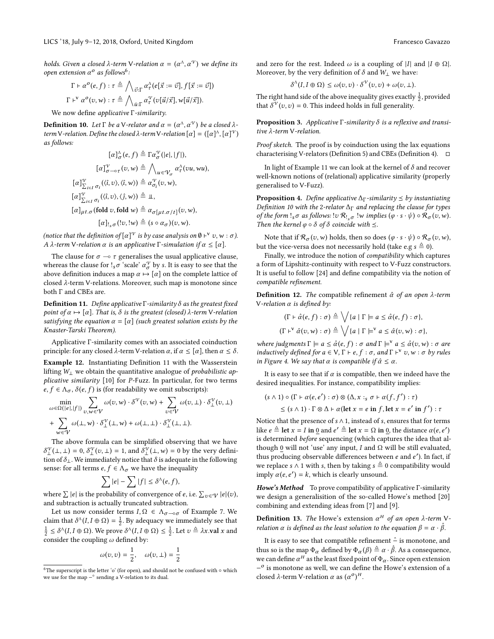holds. Given a closed  $\lambda$ -term V-relation  $\alpha = (\alpha^{\Lambda}, \alpha^{\Psi})$  we define its open extension  $\alpha^o$  as follows<sup>6</sup>:

$$
\Gamma \vdash \alpha^{o}(e, f) : \tau \triangleq \bigwedge_{\vec{v} : \Gamma} \alpha^{\wedge}_{\vec{v}}(e[\vec{x} := \vec{v}], f[\vec{x} := \vec{v}])
$$
\n
$$
\Gamma \vdash^{\vee} \alpha^{o}(v, w) : \tau \triangleq \bigwedge_{\vec{u} : \Gamma} \alpha^{\vee}_{\vec{v}}(v[\vec{u}/\vec{x}], w[\vec{u}/\vec{x}]).
$$
\n
$$
\text{and for all } \vec{v} \in \mathbb{R} \text{ such that}
$$

We now define applicative Γ-similarity.

**Definition 10.** Let  $\Gamma$  be a V-relator and  $\alpha = (\alpha^{\Lambda}, \alpha^{\Upsilon})$  be a closed  $\lambda$ -<br>term V-relation. Define the closed  $\lambda$ -term V-relation  $[\alpha] = ([\alpha]^{\Lambda}, [\alpha]^{\Upsilon})$ term V-relation. Define the closed λ-term V-relation  $[\alpha] = ([\alpha]^{\wedge}, [\alpha]^{\vee})$ <br>as follows: as follows:

$$
[\alpha]_{\sigma}^{\Lambda}(e,f) \triangleq \Gamma \alpha_{\sigma}^{\mathcal{V}}(|e|, |f|),
$$

$$
[\alpha]_{\sigma-\sigma\tau}^{\mathcal{V}}(v,w) \triangleq \bigwedge_{u \in \mathcal{V}_{\sigma}} \alpha_{\tau}^{\Lambda}(vu, wu),
$$

$$
[\alpha]_{\sum_{i \in I} \sigma_i}^{\mathcal{V}}(\langle i, v \rangle, \langle i, w \rangle) \triangleq \alpha_{\sigma_i}^{\mathcal{V}}(v,w),
$$

$$
[\alpha]_{\sum_{i \in I} \sigma_i}^{\mathcal{V}}(\langle i, v \rangle, \langle j, w \rangle) \triangleq \mathbb{I},
$$

$$
[\alpha]_{\mu t.\sigma}(\text{fold } v, \text{fold } w) \triangleq \alpha_{\sigma[\mu t.\sigma/t]}(v, w),
$$

 $[\alpha]_{s,\sigma}$   $(!v, !w) \triangleq (s \circ \alpha_{\sigma})(v, w).$ 

(notice that the definition of  $\lbrack \alpha \rbrack^\vee$  is by case analysis on  $\emptyset \vdash^{\vee} v, w : \sigma$ ). A  $\lambda$ -term V-relation  $\alpha$  is an applicative  $\Gamma$ -simulation if  $\alpha \leq [\alpha]$ .

The clause for  $\sigma \rightarrow \tau$  generalises the usual applicative clause, whereas the clause for  $!_s\sigma$  'scale'  $\alpha_{\sigma}^{\gamma}$  by s. It is easy to see that the above definition induces a map  $\alpha \mapsto [\alpha]$  on the complete lattice of closed λ-term V-relations. Moreover, such map is monotone since both Γ and CBEs are.

**Definition 11.** Define applicative Γ-similarity  $\delta$  as the greatest fixed point of  $\alpha \mapsto [\alpha]$ . That is,  $\delta$  is the greatest (closed)  $\lambda$ -term V-relation satisfying the equation  $\alpha = [\alpha]$  (such greatest solution exists by the Knaster-Tarski Theorem).

Applicative Γ-similarity comes with an associated coinduction principle: for any closed  $\lambda$ -term V-relation  $\alpha$ , if  $\alpha \leq [\alpha]$ , then  $\alpha \leq \delta$ .

Example 12. Instantiating Definition 11 with the Wasserstein lifting W⊥ we obtain the quantitative analogue of probabilistic applicative similarity [10] for P-Fuzz. In particular, for two terms  $e, f \in \Lambda_{\sigma}, \delta(e, f)$  is (for readability we omit subscripts):

$$
\min_{\omega \in \Omega(|e|,|f|)} \sum_{v,w \in \mathcal{V}} \omega(v,w) \cdot \delta^{\mathcal{V}}(v,w) + \sum_{v \in \mathcal{V}} \omega(v,\perp) \cdot \delta^{\mathcal{V}}_{\perp}(v,\perp)
$$
\n
$$
+ \sum_{w \in \mathcal{V}} \omega(\perp, w) \cdot \delta^{\mathcal{V}}_{\perp}(\perp, w) + \omega(\perp, \perp) \cdot \delta^{\mathcal{V}}_{\perp}(\perp, \perp).
$$
\nThe above formula can be simplified observing that we have

 $\delta_{\perp}^{\gamma}(\perp, \perp) = 0$ ,  $\delta_{\perp}^{\gamma}(\upsilon, \perp) = 1$ , and  $\delta_{\perp}^{\gamma}(\perp, w) = 0$  by the very definition of  $\delta$ . We immediately notice that  $\delta$  is adequate in the following tion of  $\delta_{\perp}$ . We immediately notice that  $\delta$  is adequate in the following sense: for all terms  $e,f\in \Lambda_{\sigma}$  we have the inequality

$$
\sum |e| - \sum |f| \leq \delta^{\Lambda}(e, f),
$$

where  $\sum |e|$  is the probability of convergence of  $e$ , i.e.  $\sum_{v \in \mathcal{V}} |e|(v)$ , and subtraction is actually truncated subtraction. and subtraction is actually truncated subtraction.

Let us now consider terms  $I, \Omega \in \Lambda_{\sigma-\circ\sigma}$  of Example 7. We claim that  $\delta^{\Lambda}(I, I \oplus \Omega) = \frac{1}{2}$ . By adequacy we immediately see that  $1 \le \delta^{\Lambda}(I, I \oplus \Omega)$ .  $\frac{1}{2} \leq \delta^{\Lambda}(I, I \oplus \Omega)$ . We prove  $\delta^{\Lambda}(I, I \oplus \Omega) \leq \frac{1}{2}$ . Let  $v \triangleq \lambda x$ .val x and consider the coupling  $\triangle$  defined by: consider the coupling  $\omega$  defined by:

$$
\omega(v,v) = \frac{1}{2}, \quad \omega(v,\perp) = \frac{1}{2}
$$

and zero for the rest. Indeed  $\omega$  is a coupling of |I| and  $|I \oplus \Omega|$ . Moreover, by the very definition of  $\delta$  and  $W_{\perp}$  we have:

$$
\delta^{\Lambda}(I, I \oplus \Omega) \leq \omega(v, v) \cdot \delta^{\mathcal{V}}(v, v) + \omega(v, \perp).
$$

The right hand side of the above inequality gives exactly  $\frac{1}{2}$ , provided that  $\delta^{\mathcal{V}}(v,v) = 0$ . This indeed holds in full generality.

**Proposition 3.** Applicative Γ-similarity  $\delta$  is a reflexive and transitive λ-term V-relation.

Proof sketch. The proof is by coinduction using the lax equations characterising V-relators (Definition 5) and CBEs (Definition 4).  $\square$ 

In light of Example 11 we can look at the kernel of  $\delta$  and recover well-known notions of (relational) applicative similarity (properly generalised to V-Fuzz).

**Proposition 4.** Define applicative  $\Delta_{\Gamma}$ -similarity  $\leq$  by instantiating Definition 10 with the 2-relator  $\Delta_{\Gamma}$  and replacing the clause for types of the form  $!_s\sigma$  as follows:  $!v \mathcal{R}_{!_s\sigma}$   $!w$  implies  $(\varphi \cdot s \cdot \psi) \circ \mathcal{R}_{\sigma}(v,w)$ . Then the kernel  $\varphi \circ \delta$  of  $\delta$  coincide with  $\leq$ .

Note that if  $\mathcal{R}_{\sigma}(v,w)$  holds, then so does  $(\varphi \cdot s \cdot \psi) \circ \mathcal{R}_{\sigma}(v,w)$ , but the vice-versa does not necessarily hold (take e.g  $s \triangleq 0$ ).

Finally, we introduce the notion of compatibility which captures a form of Lipshitz-continuity with respect to V-Fuzz constructors. It is useful to follow [24] and define compatibility via the notion of compatible refinement.

**Definition 12.** The compatible refinement  $\hat{\alpha}$  of an open  $\lambda$ -term V-relation  $\alpha$  is defined by:

$$
(\Gamma \vdash \hat{\alpha}(e, f) : \sigma) \triangleq \bigvee \{a \mid \Gamma \models a \leq \hat{\alpha}(e, f) : \sigma\},
$$
  

$$
(\Gamma \vdash^{\vee} \hat{\alpha}(v, w) : \sigma) \triangleq \bigvee \{a \mid \Gamma \models^{\vee} a \leq \hat{\alpha}(v, w) : \sigma\},
$$

where judgments  $\Gamma \models a \leq \hat{\alpha}(e, f) : \sigma$  and  $\Gamma \models^{\vee} a \leq \hat{\alpha}(v, w) : \sigma$  are<br>inductively defined for  $a \in V$ ,  $\Gamma \models e$ ,  $f : \sigma$ , and  $\Gamma \models^{\vee} a$ ,  $w : \sigma$  by rules inductively defined for  $a \in V$ ,  $\Gamma \vdash e$ ,  $f : \sigma$ , and  $\Gamma \vdash^{\vee} v$ , w :  $\sigma$  by rules<br>in Figure 4. We say that α is compatible if  $\hat{\alpha} < \alpha$ in Figure 4. We say that  $\alpha$  is compatible if  $\hat{\alpha} \leq \alpha$ .

It is easy to see that if  $\alpha$  is compatible, then we indeed have the desired inequalities. For instance, compatibility implies:

$$
(s \wedge 1) \circ (\Gamma \vdash \alpha(e, e') : \sigma) \otimes (\Delta, x :_{s} \sigma \vdash \alpha(f, f') : \tau)
$$
  
 
$$
\leq (s \wedge 1) \cdot \Gamma \otimes \Delta \vdash \alpha(\text{let } x = e \text{ in } f, \text{let } x = e' \text{ in } f') : \tau
$$

Notice that the presence of  $s \wedge 1$ , instead of  $s$ , ensures that for terms like  $e \triangleq \text{let } x = I$  in 0 and  $e' \triangleq \text{let } x = \Omega$  in 0, the distance  $\alpha(e, e')$ <br>is determined before sequencing (which contures the idea that a is determined before sequencing (which captures the idea that although 0 will not 'use' any input, I and  $Ω$  will be still evaluated, thus producing observable differences between e and e'). In fact, if we replace s  $\wedge$  1 with s, then by taking  $s \triangleq 0$  compatibility would imply  $\alpha(e, e') = k$ , which is clearly unsound.

Howe's Method To prove compatibility of applicative Γ-similarity we design a generalisition of the so-called Howe's method [20] combining and extending ideas from [7] and [9].

**Definition 13.** The Howe's extension  $\alpha^H$  of an open  $\lambda$ -term Vrelation  $\alpha$  is defined as the least solution to the equation  $\beta = \alpha \cdot \hat{\beta}$ .

It is easy to see that compatible refinement  $\hat{−}$  is monotone, and thus so is the map  $\Phi_{\alpha}$  defined by  $\Phi_{\alpha}(\beta) \triangleq \alpha \cdot \hat{\beta}$ . As a consequence, we can define  $\alpha^H$  as the least fixed point of  $\Phi_{\alpha}$ . Since open extension  $-\alpha$  is monotone as well, we can define the Howe's extension of a  $−<sup>o</sup>$  is monotone as well, we can define the Howe's extension of a closed  $\lambda$ -term V-relation  $\alpha$  as  $(\alpha^0)^H$ .

 $^6\mathrm{The}$  superscript is the letter 'o' (for open), and should not be confused with  $\circ$  which we use for the map –° sending a V-relation to its dual.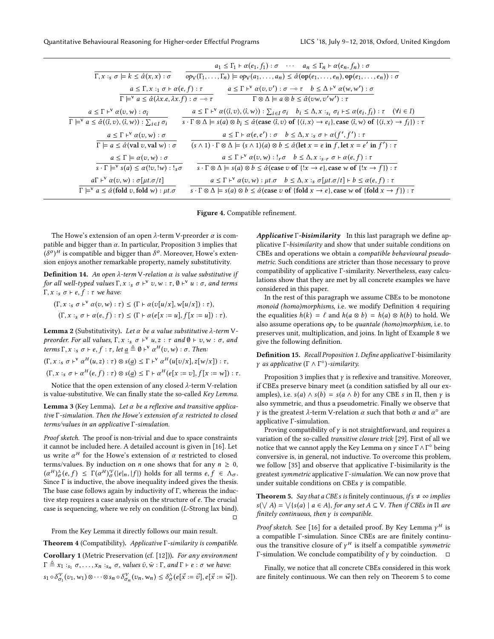|                                                                                                                                         | $a_1 \leq \Gamma_1 \vdash \alpha(e_1, f_1) : \sigma \quad \cdots \quad a_n \leq \Gamma_n \vdash \alpha(e_n, f_n) : \sigma$                                                                                                                                                                                         |
|-----------------------------------------------------------------------------------------------------------------------------------------|--------------------------------------------------------------------------------------------------------------------------------------------------------------------------------------------------------------------------------------------------------------------------------------------------------------------|
| $\Gamma, x :_{s} \sigma \models k \leq \hat{\alpha}(x, x) : \sigma$                                                                     | $op_V(\Gamma_1,\ldots,\Gamma_n) \models op_V(a_1,\ldots,a_n) \leq \hat{\alpha}(\text{op}(e_1,\ldots,e_n),\text{op}(e_1,\ldots,e_n)) : \sigma$                                                                                                                                                                      |
| $a \leq \Gamma, x :_1 \sigma \vdash \alpha(e, f) : \tau$                                                                                | $a \leq \Gamma$ + $\alpha$ $(v, v')$ : $\sigma$ $\sim$ $\tau$ $b \leq \Delta$ + $\alpha$ $(w, w')$ : $\sigma$                                                                                                                                                                                                      |
| $\Gamma \models^{\vee} a \leq \hat{\alpha}(\lambda x.e, \lambda x.f): \sigma \multimap \tau$                                            | $\Gamma \otimes \Delta \models a \otimes b \leq \hat{\alpha}(vw, v'w'): \tau$                                                                                                                                                                                                                                      |
| $a \leq \Gamma$ + $\alpha(v, w)$ : $\sigma_{\hat{i}}$                                                                                   | $a \leq \Gamma$ + $\alpha(\langle \hat{i}, v \rangle, \langle \hat{i}, w \rangle)$ : $\sum_{i \in I} \sigma_i$ $b_i \leq \Delta, x :_{s_i} \sigma_i \vdash \leq \alpha(e_i, f_i)$ : $\tau$ $(\forall i \in I)$                                                                                                     |
| $\Gamma \models^{\vee} a \leq \hat{\alpha}(\langle \hat{\imath}, v \rangle, \langle \hat{\imath}, w \rangle) : \sum_{i \in I} \sigma_i$ | $s \cdot \Gamma \otimes \Delta \models s(a) \otimes b_i \leq \hat{\alpha}(\text{case } \langle \hat{\imath}, v \rangle \text{ of } \{ \langle \hat{\imath}, x \rangle \rightarrow e_i \}, \text{case } \langle \hat{\imath}, w \rangle \text{ of } \{ \langle \hat{\imath}, x \rangle \rightarrow f_i \} ) : \tau$ |
| $a \leq \Gamma \vdash^{\vee} \alpha(v,w) : \sigma$                                                                                      | $a \leq \Gamma \vdash \alpha(e, e') : \sigma \quad b \leq \Delta, x :_{s} \sigma \vdash \alpha(f', f') : \tau$                                                                                                                                                                                                     |
| $\Gamma \models a \leq \hat{\alpha}$ (val v, val w) : $\sigma$                                                                          | $(s \wedge 1) \cdot \Gamma \otimes \Delta \models (s \wedge 1)(a) \otimes b \leq \hat{\alpha}$ (let $x = e$ in f, let $x = e'$ in $f'$ ) : $\tau$                                                                                                                                                                  |
| $a \leq \Gamma \models \alpha(v, w) : \sigma$                                                                                           | $a \leq \Gamma$ + $\alpha$ $(v, w)$ : $!_r \sigma$ $b \leq \Delta$ , $x :_{s,r} \sigma$ + $\alpha$ $(e, f) : \tau$                                                                                                                                                                                                 |
| $s \cdot \Gamma \models^{\vee} s(a) \leq \alpha(!v, !w) : !_s \sigma$                                                                   | $s \cdot \Gamma \otimes \Delta \models s(a) \otimes b \leq \hat{\alpha}$ (case v of $\{!x \rightarrow e\}$ , case w of $\{!x \rightarrow f\}$ ) : $\tau$                                                                                                                                                           |
| $a\Gamma \vdash^{\vee} \alpha(v,w) : \sigma[\mu t.\sigma/t]$                                                                            | $a \leq \Gamma$ + $\alpha(v, w)$ : $\mu t. \sigma$ $b \leq \Delta$ , $x :_{s} \sigma[\mu t. \sigma/t]$ + $b \leq \alpha(e, f)$ : $\tau$                                                                                                                                                                            |
| $\Gamma \models^{\vee} a \leq \hat{\alpha}$ (fold v, fold w) : $\mu t.\sigma$                                                           | $s \cdot \Gamma \otimes \Delta \models s(a) \otimes b \leq \hat{\alpha}$ (case v of {fold $x \rightarrow e$ }, case w of {fold $x \rightarrow f$ }) : $\tau$                                                                                                                                                       |

Figure 4. Compatible refinement.

The Howe's extension of an open  $\lambda$ -term V-preorder  $\alpha$  is compatible and bigger than  $\alpha$ . In particular, Proposition 3 implies that  $(\delta^o)^H$  is compatible and bigger than  $\delta^o$ . Moreover, Howe's exten-<br>sion enjoys another remarkable property, namely substitutivity ) sion enjoys another remarkable property, namely substitutivity.

**Definition 14.** An open  $λ$ -term V-relation  $α$  is value substitutive if for all well-typed values  $\Gamma$ ,  $x :_{s} \sigma \vdash^{v} v$ ,  $w : \tau$ ,  $\emptyset \vdash^{v} u : \sigma$ , and terms Γ,  $x :_{s} \sigma \vdash e, f : \tau$  we have:

 $(\Gamma, x :_{s} \sigma \vdash^{V} \alpha(v, w) : \tau) \leq (\Gamma \vdash \alpha(v[u/x], w[u/x]) : \tau),$  $(\Gamma, x :_{s} \sigma \vdash \alpha(e, f) : \tau) \leq (\Gamma \vdash \alpha(e[x := u], f[x := u]) : \tau).$ 

**Lemma 2** (Substitutivity). Let α be a value substitutive  $λ$ -term Vpreorder. For all values,  $\Gamma$ ,  $x :_{S} \sigma \vdash^{V} u$ ,  $z : \tau$  and  $\emptyset \vdash v$ ,  $w : \sigma$ , and  $t$  arrow  $\Gamma$ ,  $x : \sigma \vdash a$ ,  $f : \tau$ , let  $a \triangleq \emptyset \vdash^{V} \sigma^{H}(a, w) : \tau$ . Then: terms  $\Gamma$ ,  $x :_{s} \sigma \vdash e$ ,  $f : \tau$ , let  $\underline{a} \triangleq \emptyset \vdash^{v} \alpha^{H}(v,w) : \sigma$ . Then:  $(\Gamma, x :_{s} \sigma \vdash^{V} \alpha^{H}(u, z) : \tau) \otimes s(\underline{a}) \leq \Gamma \vdash^{V} \alpha^{H}(u[v/x], z[w/x]) : \tau,$ 

$$
(\Gamma, x :_{s} \sigma \vdash \alpha^{H}(e, f) : \tau) \otimes s(\underline{a}) \leq \Gamma \vdash \alpha^{H}(e[x := v], f[x := w]) : \tau.
$$

Notice that the open extension of any closed λ-term V-relation is value-substitutive. We can finally state the so-called Key Lemma.

**Lemma 3** (Key Lemma). Let α be a reflexive and transitive applicative  $\Gamma$ -simulation. Then the Howe's extension of  $\alpha$  restricted to closed terms/values in an applicative Γ-simulation.

Proof sketch. The proof is non-trivial and due to space constraints it cannot be included here. A detailed account is given in [16]. Let us write  $\alpha^H$  for the Howe's extension of  $\alpha$  restricted to closed terms/values. By induction on *n* one shows that for any  $n \geq 0$ ,  $(\alpha^H)_\alpha^{\alpha} (e, f) \leq \Gamma(\alpha^H)_\alpha^{\alpha} (|e|_n, |f|)$  holds for all terms  $e, f \in \Lambda_\alpha$ .<br>Since  $\Gamma$  is inductive, the above inequality indeed gives the thesis  $(\alpha^{-1}\bar{\sigma}(\epsilon, f) \leq 1(\alpha^{-1}\bar{\sigma}(\epsilon | n, |f|))$  not for all terms  $\epsilon, f \in \Lambda_{\sigma}$ .<br>Since  $\Gamma$  is inductive, the above inequality indeed gives the thesis. The base case follows again by inductivity of Γ, whereas the inductive step requires a case analysis on the structure of e. The crucial case is sequencing, where we rely on condition (L-Strong lax bind).  $\Box$ 

From the Key Lemma it directly follows our main result.

Theorem 4 (Compatibility). Applicative Γ-similarity is compatible. Corollary 1 (Metric Preservation (cf. [12])). For any environment  $\Gamma \triangleq x_1 :_{s_1} \sigma, \ldots, x_n :_{s_n} \sigma,$  values  $\bar{\upsilon}, \bar{w} : \Gamma,$  and  $\Gamma \vdash e : \sigma$  we have:  $s_1 \circ \delta^{\mathcal{V}}_{\sigma_1}(v_1, w_1) \otimes \cdots \otimes s_n \circ \delta^{\mathcal{V}}_{\sigma_n}(v_n, w_n) \leq \delta^{\mathcal{A}}_{\sigma} (e[\vec{x} := \vec{v}], e[\vec{x} := \vec{w}]).$ σn

Applicative Γ-bisimilarity In this last paragraph we define applicative Γ-bisimilarity and show that under suitable conditions on CBEs and operations we obtain a compatible behavioural pseudometric. Such conditions are stricter than those necessary to prove compatibility of applicative Γ-similarity. Nevertheless, easy calculations show that they are met by all concrete examples we have considered in this paper.

In the rest of this paragraph we assume CBEs to be monotone monoid (homo)morphisms, i.e. we modify Definition 4 requiring the equalities  $h(k) = \ell$  and  $h(a \otimes b) = h(a) \otimes h(b)$  to hold. We also assume operations  $op<sub>V</sub>$  to be quantale (homo)morphism, i.e. to preserves unit, multiplication, and joins. In light of Example 8 we give the following definition.

Definition 15. Recall Proposition 1. Define applicative <sup>Γ</sup>-bisimilarity  $\gamma$  as applicative  $(\Gamma \wedge \Gamma^{\circ})$ -similarity.

Proposition 3 implies that  $\gamma$  is reflexive and transitive. Moreover, if CBEs preserve binary meet (a condition satisfied by all our examples), i.e.  $s(a) \wedge s(b) = s(a \wedge b)$  for any CBE s in  $\Pi$ , then  $\gamma$  is also symmetric, and thus a pseudometric. Finally we observe that *γ* is the greatest  $\lambda$ -term V-relation  $\alpha$  such that both  $\alpha$  and  $\alpha$ <sup>°</sup> are applicative Γ-simulation.

Proving compatibility of  $\gamma$  is not straightforward, and requires a variation of the so-called transitive closure trick [29]. First of all we notice that we cannot apply the Key Lemma on  $\gamma$  since  $\Gamma \wedge \Gamma^{\circ}$  being conversive is in general, not inductive. To overcome this problem conversive is, in general, not inductive. To overcome this problem, we follow [35] and observe that applicative Γ-bisimilarity is the greatest symmetric applicative Γ-simulation. We can now prove that under suitable conditions on CBEs  $\gamma$  is compatible.

**Theorem 5.** Say that a CBE s is finitely continuous, if  $s \neq \infty$  implies  $s(\forall A) = \forall \{s(a) \mid a \in A\}$ , for any set  $A \subseteq V$ . Then if CBEs in  $\Pi$  are finitely continuous then  $v$  is compatible finitely continuous, then  $\gamma$  is compatible.

*Proof sketch.* See [16] for a detailed proof. By Key Lemma  $\gamma^H$  is a compatible Γ-simulation. Since CBEs are are finitely continuous the transitive closure of  $\gamma^H$  is itself a compatible symmetric Γ-simulation. We conclude compatibility of  $\gamma$  by coinduction.  $\Box$ 

Finally, we notice that all concrete CBEs considered in this work are finitely continuous. We can then rely on Theorem 5 to come